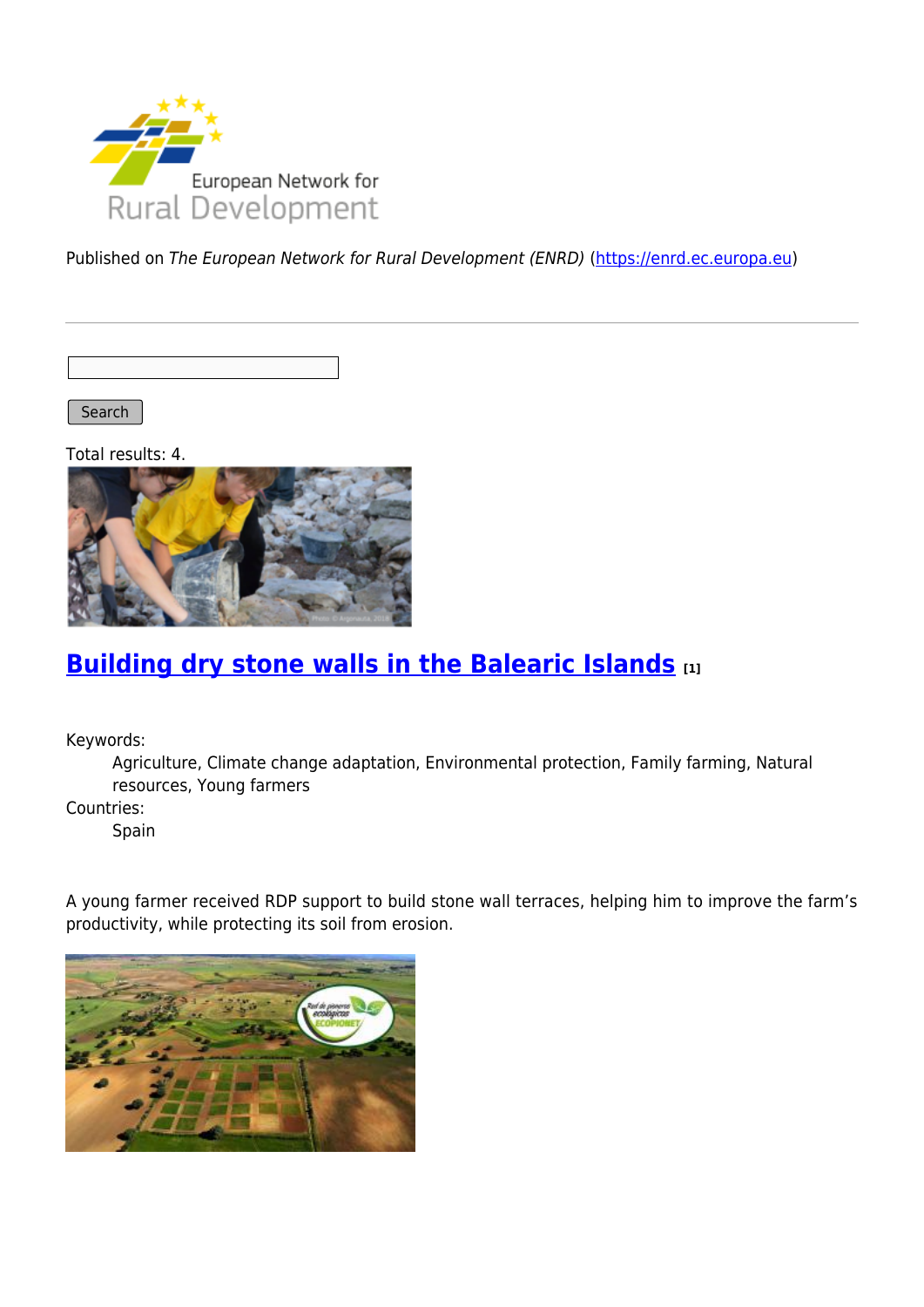

Published on The European Network for Rural Development (ENRD) [\(https://enrd.ec.europa.eu](https://enrd.ec.europa.eu))

Search

Total results: 4.



## **[Building dry stone walls in the Balearic Islands](https://enrd.ec.europa.eu/projects-practice/building-dry-stone-walls-balearic-islands_en) [1]**

Keywords:

Agriculture, Climate change adaptation, Environmental protection, Family farming, Natural resources, Young farmers

Countries:

Spain

A young farmer received RDP support to build stone wall terraces, helping him to improve the farm's productivity, while protecting its soil from erosion.

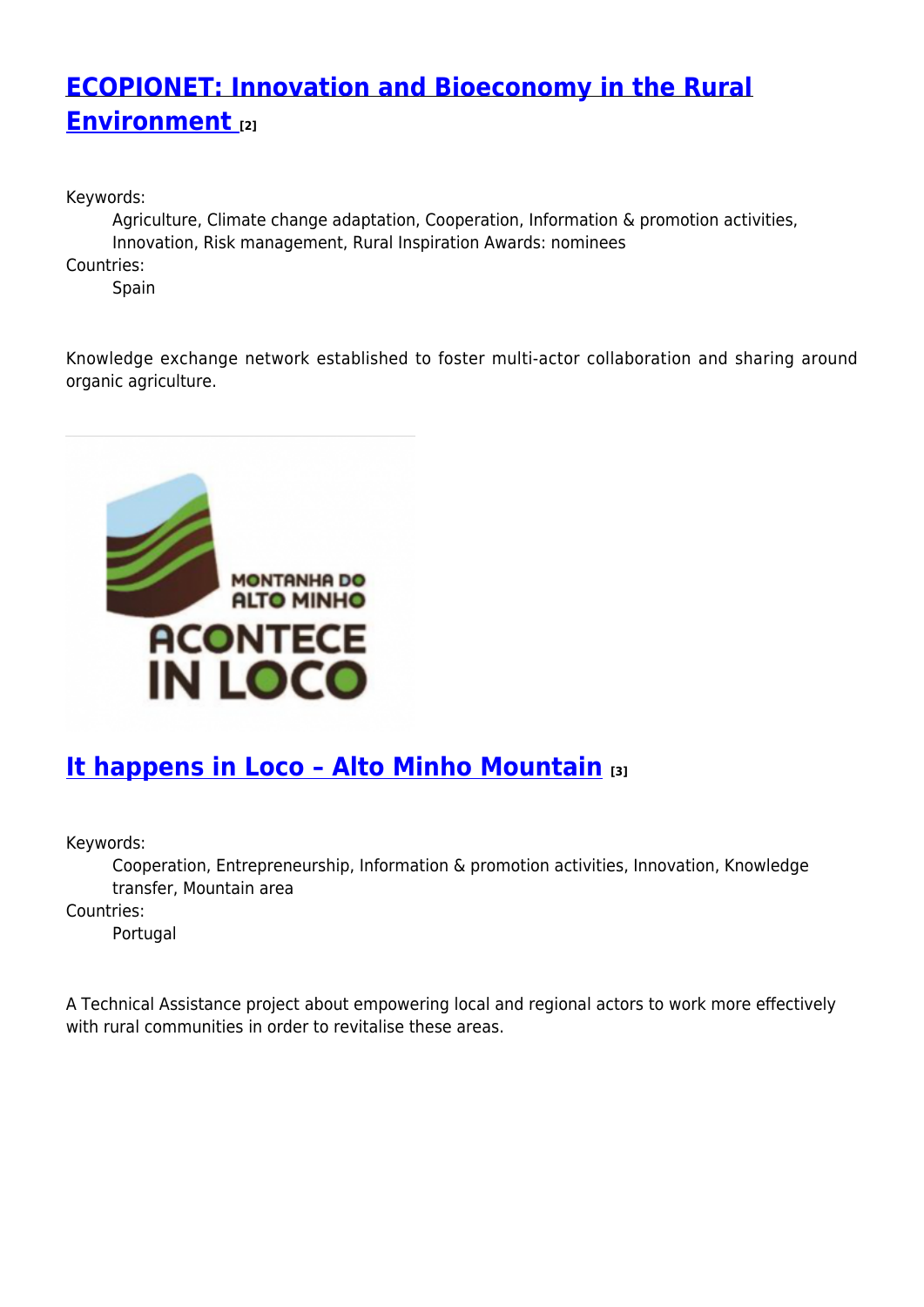# **[ECOPIONET: Innovation and Bioeconomy in the Rural](https://enrd.ec.europa.eu/projects-practice/ecopionet-innovation-and-bioeconomy-rural-environment_en) [Environment](https://enrd.ec.europa.eu/projects-practice/ecopionet-innovation-and-bioeconomy-rural-environment_en) [2]**

Keywords:

Agriculture, Climate change adaptation, Cooperation, Information & promotion activities, Innovation, Risk management, Rural Inspiration Awards: nominees

Countries:

Spain

Knowledge exchange network established to foster multi-actor collaboration and sharing around organic agriculture.



### **[It happens in Loco – Alto Minho Mountain](https://enrd.ec.europa.eu/projects-practice/it-happens-loco-alto-minho-mountain_en) [3]**

Keywords:

Cooperation, Entrepreneurship, Information & promotion activities, Innovation, Knowledge transfer, Mountain area

Countries:

Portugal

A Technical Assistance project about empowering local and regional actors to work more effectively with rural communities in order to revitalise these areas.